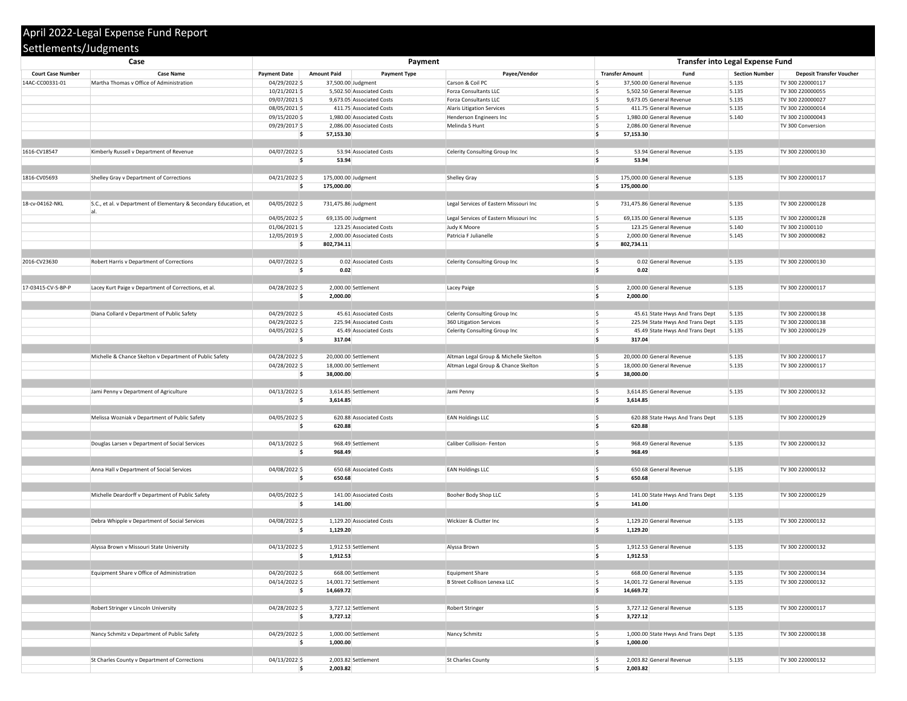## **Court Case Number Case Name Payment Date Payment Type** 14AC-CC00331-01 Martha Thomas v Office of Administration 04/29/2022 \$ 37,500.00 Judgment Carson & Coil PC 10/21/2021 \$ 5,502.50 Associated Costs Forza Consultants LLC 09/07/2021 \$ 9,673.05 Associated Costs Forza Consultants LLC 08/05/2021 \$ 411.75 Associated Costs Alaris Litigation Services 09/15/2020 \$ 1,980.00 Associated Costs Henderson Engineers Inc 09/29/2017 \$ 2,086.00 Associated Costs Melinda S Hunt **\$ 57,153.30 \$ 57,153.30** 1616-CV18547 Kimberly Russell v Department of Revenue 04/07/2022 \$ 53.94 Associated Costs Celerity Consulting Group Inc **\$ 53.94 \$ 53.94** 1816-CV05693 Shelley Gray v Department of Corrections 6. [201] 1816-CV05693 Shelley Gray Shelley Gray Shelley Gray **\$ 175,000.00 \$ 175,000.00** 18-cv-04162-NKL S.C., et al. v Department of Elementary & Secondary Education, et al. 04/05/2022 \$ 731,475.86 Judgment Legal Services of Eastern Missouri Inc 04/05/2022 \$ 69,135.00 Judgment Legal Services of Eastern Missouri Inc 01/06/2021 \$ 123.25 Associated Costs Judy K Moore \$ 123.25 General Revenue 5.140 TV 300 21000110 12/05/2019 \$ 2,000.00 Associated Costs Patricia F Julianelle **\$ 802,734.11 \$ 802,734.11** 2016-CV23630 Robert Harris v Department of Corrections **04/07/2022 \$** 0.02 Associated Costs Celerity Consulting Group Inc **\$ 0.02 \$ 0.02** 17-03415-CV-S-BP-P Lacey Kurt Paige v Department of Corrections, et al. 04/28/2022 \$ 2,000.00 Settlement Lacey Paige **\$ 2,000.00 \$ 2,000.00** Diana Collard v Department of Public Safety **1992** 104/29/2022 \$ 45.61 Associated Costs **And Trans Department of Public Safety** 100 110 04/29/2022 \$ 225.94 Associated Costs 360 Litigation Services 04/05/2022 \$ 45.49 Associated Costs Celerity Consulting Group Inc **\$ 317.04 \$ 317.04** Michelle & Chance Skelton v Department of Public Safety 1992/2022 | 20,000.00 Settlement Altman Legal Group & Michelle Skelton \$ 20,000.00 Settlement 04/28/2022 \$ 18,000.00 Settlement Altman Legal Group & Chance Skelton **\$ 38,000.00 \$ 38,000.00** Jami Penny v Department of Agriculture 11 1200 1200 1200 13/2022 \$ 3,614.85 Settlement 5.145 Jami Penny **\$ 3,614.85 \$ 3,614.85** Melissa Wozniak v Department of Public Safety  $04/05/2022$   $\mid$ \$ 620.88 Associated Costs EAN Holdings LLC **\$ 620.88 \$ 620.88** Douglas Larsen v Department of Social Services and the Caliber Collision- Tenton in the Caliber Collision- Fenton Caliber Collision- Fenton Revenue 5.135 Tu 300 2013 TV 300 2200 2200 2200 2200 220001322002 **\$ 968.49 \$ 968.49** Anna Hall v Department of Social Services and the Social Services and the UA/08/2022 \$ 650.68 Associated Costs EAN Holdings LLC **\$ 650.68 \$ 650.68** Michelle Deardorff v Department of Public Safety **141.00 Associated Costs** Booher Body Shop LLC Nuchelle Deardorff v Department of Public Safety **141.00** Associated Costs **Provide 5.135 TV 300 2000 \$ 141.00 \$ 141.00** Debra Whipple v Department of Social Services and the COLO 04/08/2022 \$ 1,129.20 Associated Costs Wickizer & Clutter Inc **\$ 1,129.20 \$ 1,129.20** Alyssa Brown v Missouri State University **1,912/2022 \$** 1,912.53 Settlement Alyssa Brown **Alyssa Brown \$ 1,912.53 \$ 1,912.53** Equipment Share v Office of Administration 04/20/2022 \$ 668.00 Settlement Equipment Share  $04/14/2022$  \$ 14,001.72 Settlement B Street Collison Lenexa LLC **\$ 14,669.72 \$ 14,669.72** Robert Stringer v Lincoln University **1998 1200 128/2022** \$ 3,727.12 Settlement Robert Stringer Robert Stringer **\$ 3,727.12 \$ 3,727.12** Nancy Schmitz v Department of Public Safety **1,000.00** Settlement Nancy Schmitz **Nancy Schmitz Nancy Schmitz** 3.135 TV 300 20000012 **\$ 1,000.00 \$ 1,000.00** St Charles County v Department of Corrections **8.13t Charles County 8.134 Turned Accounty 3.003.82** Settlement St Charles County St Charles County Settlements/Judgments **Case Payment Transfer into Legal Expense Fund**

|     |                     | Payment                   |                                        | <b>Transfer into Legal Expense Fund</b> |                                    |                       |                                 |  |  |  |  |
|-----|---------------------|---------------------------|----------------------------------------|-----------------------------------------|------------------------------------|-----------------------|---------------------------------|--|--|--|--|
|     | <b>Amount Paid</b>  | <b>Payment Type</b>       | Payee/Vendor                           | <b>Transfer Amount</b>                  | <b>Fund</b>                        | <b>Section Number</b> | <b>Deposit Transfer Voucher</b> |  |  |  |  |
|     |                     | 37,500.00 Judgment        | Carson & Coil PC                       | IS.                                     | 37,500.00 General Revenue          | 5.135                 | TV 300 220000117                |  |  |  |  |
|     |                     | 5,502.50 Associated Costs | <b>Forza Consultants LLC</b>           |                                         | 5,502.50 General Revenue           | 5.135                 | TV 300 220000055                |  |  |  |  |
|     |                     |                           |                                        |                                         |                                    |                       |                                 |  |  |  |  |
|     |                     | 9,673.05 Associated Costs | <b>Forza Consultants LLC</b>           |                                         | 9,673.05 General Revenue           | 5.135                 | TV 300 220000027                |  |  |  |  |
|     |                     | 411.75 Associated Costs   | <b>Alaris Litigation Services</b>      |                                         | 411.75 General Revenue             | 5.135                 | TV 300 220000014                |  |  |  |  |
|     |                     | 1,980.00 Associated Costs | Henderson Engineers Inc                |                                         | 1,980.00 General Revenue           | 5.140                 | TV 300 210000043                |  |  |  |  |
|     |                     | 2,086.00 Associated Costs | Melinda S Hunt                         |                                         | 2,086.00 General Revenue           |                       | TV 300 Conversion               |  |  |  |  |
|     | 57,153.30           |                           |                                        | \$<br>57,153.30                         |                                    |                       |                                 |  |  |  |  |
|     |                     |                           |                                        |                                         |                                    |                       |                                 |  |  |  |  |
|     |                     | 53.94 Associated Costs    | Celerity Consulting Group Inc          | \$                                      | 53.94 General Revenue              | 5.135                 | TV 300 220000130                |  |  |  |  |
| \$  | 53.94               |                           |                                        | \$<br>53.94                             |                                    |                       |                                 |  |  |  |  |
|     |                     |                           |                                        |                                         |                                    |                       |                                 |  |  |  |  |
|     |                     |                           |                                        |                                         |                                    |                       |                                 |  |  |  |  |
| \$  | 175,000.00 Judgment |                           | <b>Shelley Gray</b>                    | \$                                      | 175,000.00 General Revenue         | 5.135                 | TV 300 220000117                |  |  |  |  |
| Ś.  | 175,000.00          |                           |                                        | \$<br>175,000.00                        |                                    |                       |                                 |  |  |  |  |
|     |                     |                           |                                        |                                         |                                    |                       |                                 |  |  |  |  |
| \$. | 731,475.86 Judgment |                           | Legal Services of Eastern Missouri Inc | Ś                                       | 731,475.86 General Revenue         | 5.135                 | TV 300 220000128                |  |  |  |  |
|     |                     |                           |                                        |                                         |                                    |                       |                                 |  |  |  |  |
|     |                     | 69,135.00 Judgment        | Legal Services of Eastern Missouri Inc | l S                                     | 69,135.00 General Revenue          | 5.135                 | TV 300 220000128                |  |  |  |  |
|     |                     | 123.25 Associated Costs   | Judy K Moore                           | l\$                                     | 123.25 General Revenue             | 5.140                 | TV 300 21000110                 |  |  |  |  |
|     |                     | 2,000.00 Associated Costs | Patricia F Julianelle                  | IS                                      | 2,000.00 General Revenue           | 5.145                 | TV 300 200000082                |  |  |  |  |
|     | 802,734.11          |                           |                                        | l\$<br>802,734.11                       |                                    |                       |                                 |  |  |  |  |
|     |                     |                           |                                        |                                         |                                    |                       |                                 |  |  |  |  |
| Ś.  |                     | 0.02 Associated Costs     | Celerity Consulting Group Inc          | ¦\$                                     | 0.02 General Revenue               | 5.135                 | TV 300 220000130                |  |  |  |  |
|     | 0.02                |                           |                                        | \$<br>0.02                              |                                    |                       |                                 |  |  |  |  |
|     |                     |                           |                                        |                                         |                                    |                       |                                 |  |  |  |  |
|     |                     |                           |                                        |                                         |                                    | 5.135                 | TV 300 220000117                |  |  |  |  |
|     |                     | 2,000.00 Settlement       | Lacey Paige                            | \$                                      | 2,000.00 General Revenue           |                       |                                 |  |  |  |  |
| \$  | 2,000.00            |                           |                                        | '\$<br>2,000.00                         |                                    |                       |                                 |  |  |  |  |
|     |                     |                           |                                        |                                         |                                    |                       |                                 |  |  |  |  |
|     |                     | 45.61 Associated Costs    | Celerity Consulting Group Inc          | \$                                      | 45.61 State Hwys And Trans Dept    | 5.135                 | TV 300 220000138                |  |  |  |  |
|     |                     | 225.94 Associated Costs   | 360 Litigation Services                | ∣<                                      | 225.94 State Hwys And Trans Dept   | 5.135                 | TV 300 220000138                |  |  |  |  |
|     |                     | 45.49 Associated Costs    | Celerity Consulting Group Inc          | \$                                      | 45.49 State Hwys And Trans Dept    | 5.135                 | TV 300 220000129                |  |  |  |  |
| \$  | 317.04              |                           |                                        | Ś<br>317.04                             |                                    |                       |                                 |  |  |  |  |
|     |                     |                           |                                        |                                         |                                    |                       |                                 |  |  |  |  |
| \$. |                     | 20,000.00 Settlement      | Altman Legal Group & Michelle Skelton  | \$                                      | 20,000.00 General Revenue          | 5.135                 | TV 300 220000117                |  |  |  |  |
|     |                     | 18,000.00 Settlement      | Altman Legal Group & Chance Skelton    | S                                       | 18,000.00 General Revenue          | 5.135                 | TV 300 220000117                |  |  |  |  |
|     |                     |                           |                                        | S<br>38,000.00                          |                                    |                       |                                 |  |  |  |  |
|     | 38,000.00           |                           |                                        |                                         |                                    |                       |                                 |  |  |  |  |
|     |                     |                           |                                        |                                         |                                    |                       |                                 |  |  |  |  |
|     |                     | 3,614.85 Settlement       | Jami Penny                             | \$                                      | 3,614.85 General Revenue           | 5.135                 | TV 300 220000132                |  |  |  |  |
| \$  | 3,614.85            |                           |                                        | '\$<br>3,614.85                         |                                    |                       |                                 |  |  |  |  |
|     |                     |                           |                                        |                                         |                                    |                       |                                 |  |  |  |  |
| \$  |                     | 620.88 Associated Costs   | <b>EAN Holdings LLC</b>                | \$                                      | 620.88 State Hwys And Trans Dept   | 5.135                 | TV 300 220000129                |  |  |  |  |
|     | 620.88              |                           |                                        | '\$<br>620.88                           |                                    |                       |                                 |  |  |  |  |
|     |                     |                           |                                        |                                         |                                    |                       |                                 |  |  |  |  |
| \$  |                     | 968.49 Settlement         | Caliber Collision- Fenton              | \$                                      | 968.49 General Revenue             | 5.135                 | TV 300 220000132                |  |  |  |  |
| \$  | 968.49              |                           |                                        | '\$<br>968.49                           |                                    |                       |                                 |  |  |  |  |
|     |                     |                           |                                        |                                         |                                    |                       |                                 |  |  |  |  |
| \$  |                     | 650.68 Associated Costs   | <b>EAN Holdings LLC</b>                | \$                                      | 650.68 General Revenue             | 5.135                 | TV 300 220000132                |  |  |  |  |
| \$  | 650.68              |                           |                                        | ۱\$<br>650.68                           |                                    |                       |                                 |  |  |  |  |
|     |                     |                           |                                        |                                         |                                    |                       |                                 |  |  |  |  |
|     |                     |                           |                                        |                                         |                                    |                       |                                 |  |  |  |  |
| \$  |                     | 141.00 Associated Costs   | Booher Body Shop LLC                   | \$                                      | 141.00 State Hwys And Trans Dept   | 5.135                 | TV 300 220000129                |  |  |  |  |
| \$  | 141.00              |                           |                                        | '\$<br>141.00                           |                                    |                       |                                 |  |  |  |  |
|     |                     |                           |                                        |                                         |                                    |                       |                                 |  |  |  |  |
| \$  |                     | 1,129.20 Associated Costs | Wickizer & Clutter Inc                 | \$                                      | 1,129.20 General Revenue           | 5.135                 | TV 300 220000132                |  |  |  |  |
|     | 1,129.20            |                           |                                        | \$<br>1,129.20                          |                                    |                       |                                 |  |  |  |  |
|     |                     |                           |                                        |                                         |                                    |                       |                                 |  |  |  |  |
| \$. |                     | $1,912.53$ Settlement     | Alyssa Brown                           | \$                                      | 1,912.53 General Revenue           | 5.135                 | TV 300 220000132                |  |  |  |  |
| \$  | 1,912.53            |                           |                                        | \$<br>1,912.53                          |                                    |                       |                                 |  |  |  |  |
|     |                     |                           |                                        |                                         |                                    |                       |                                 |  |  |  |  |
|     |                     | 668.00 Settlement         | <b>Equipment Share</b>                 | \$                                      | 668.00 General Revenue             | 5.135                 | TV 300 220000134                |  |  |  |  |
|     |                     |                           |                                        |                                         |                                    |                       |                                 |  |  |  |  |
|     |                     | 14,001.72 Settlement      | <b>B Street Collison Lenexa LLC</b>    |                                         | 14,001.72 General Revenue          | 5.135                 | TV 300 220000132                |  |  |  |  |
|     | 14,669.72           |                           |                                        | k,<br>14,669.72                         |                                    |                       |                                 |  |  |  |  |
|     |                     |                           |                                        |                                         |                                    |                       |                                 |  |  |  |  |
| \$  |                     | $3,727.12$ Settlement     | Robert Stringer                        | ∣\$                                     | 3,727.12 General Revenue           | 5.135                 | TV 300 220000117                |  |  |  |  |
| \$  | 3,727.12            |                           |                                        | \$<br>3,727.12                          |                                    |                       |                                 |  |  |  |  |
|     |                     |                           |                                        |                                         |                                    |                       |                                 |  |  |  |  |
| \$  |                     | 1,000.00 Settlement       | Nancy Schmitz                          | \$                                      | 1,000.00 State Hwys And Trans Dept | 5.135                 | TV 300 220000138                |  |  |  |  |
| \$  | 1,000.00            |                           |                                        | \$<br>1,000.00                          |                                    |                       |                                 |  |  |  |  |
|     |                     |                           |                                        |                                         |                                    |                       |                                 |  |  |  |  |
| \$  |                     | $2,003.82$ Settlement     | St Charles County                      | \$                                      | 2,003.82 General Revenue           | 5.135                 | TV 300 220000132                |  |  |  |  |
| Ś.  | 2,003.82            |                           |                                        | \$<br>2,003.82                          |                                    |                       |                                 |  |  |  |  |
|     |                     |                           |                                        |                                         |                                    |                       |                                 |  |  |  |  |

## April 2022-Legal Expense Fund Report